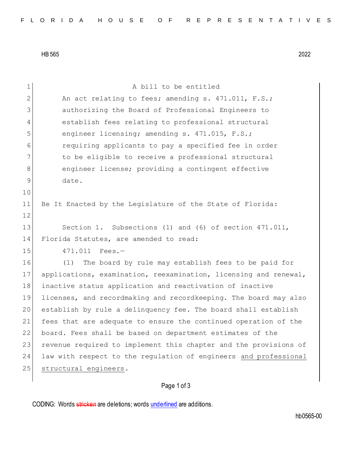HB 565 2022

| $\mathbf 1$   | A bill to be entitled                                            |
|---------------|------------------------------------------------------------------|
| $\mathbf{2}$  | An act relating to fees; amending s. 471.011, F.S.;              |
| 3             | authorizing the Board of Professional Engineers to               |
| 4             | establish fees relating to professional structural               |
| 5             | engineer licensing; amending s. 471.015, F.S.;                   |
| 6             | requiring applicants to pay a specified fee in order             |
| 7             | to be eligible to receive a professional structural              |
| 8             | engineer license; providing a contingent effective               |
| $\mathcal{G}$ | date.                                                            |
| 10            |                                                                  |
| 11            | Be It Enacted by the Legislature of the State of Florida:        |
| 12            |                                                                  |
| 13            | Section 1. Subsections (1) and (6) of section 471.011,           |
| 14            | Florida Statutes, are amended to read:                           |
| 15            | 471.011 Fees.-                                                   |
| 16            | The board by rule may establish fees to be paid for<br>(1)       |
| 17            | applications, examination, reexamination, licensing and renewal, |
| 18            | inactive status application and reactivation of inactive         |
| 19            | licenses, and recordmaking and recordkeeping. The board may also |
| 20            | establish by rule a delinquency fee. The board shall establish   |
| 21            | fees that are adequate to ensure the continued operation of the  |
| 22            | board. Fees shall be based on department estimates of the        |
| 23            | revenue required to implement this chapter and the provisions of |
| 24            | law with respect to the regulation of engineers and professional |
| 25            | structural engineers.                                            |
|               |                                                                  |

## Page 1 of 3

CODING: Words stricken are deletions; words underlined are additions.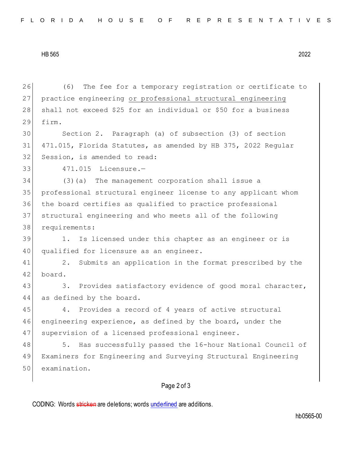HB 565 2022

Page 2 of 3 26 (6) The fee for a temporary registration or certificate to 27 | practice engineering or professional structural engineering 28 shall not exceed \$25 for an individual or \$50 for a business 29 firm. 30 Section 2. Paragraph (a) of subsection (3) of section 31 471.015, Florida Statutes, as amended by HB 375, 2022 Regular 32 Session, is amended to read: 33 471.015 Licensure.— 34 (3)(a) The management corporation shall issue a 35 professional structural engineer license to any applicant whom 36 the board certifies as qualified to practice professional 37 structural engineering and who meets all of the following 38 requirements: 39 1. Is licensed under this chapter as an engineer or is 40 qualified for licensure as an engineer. 41 2. Submits an application in the format prescribed by the 42 board. 43 3. Provides satisfactory evidence of good moral character, 44 as defined by the board. 45 4. Provides a record of 4 years of active structural 46 engineering experience, as defined by the board, under the 47 | supervision of a licensed professional engineer. 48 5. Has successfully passed the 16-hour National Council of 49 Examiners for Engineering and Surveying Structural Engineering 50 examination.

CODING: Words stricken are deletions; words underlined are additions.